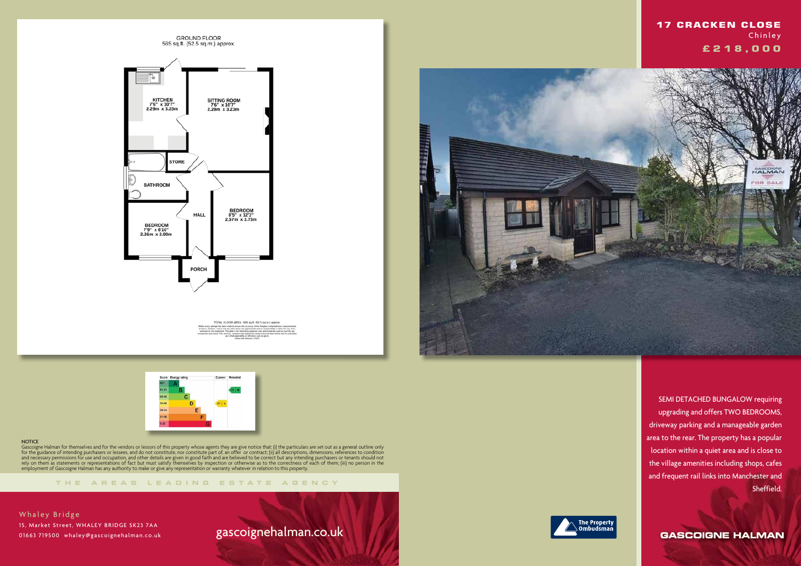

TOTAL FLOOR AREA: 565 sq.ft. (52.5 sq.m.) approx



**THE AREA S LEADING ES T A TE A G E N C Y**



Gascoigne Halman for themselves and for the vendors or lessors of this property whose agents they are give notice that: (i) the particulars are set out as a general outline only for the guidance of intending purchasers or lessees, and do not constitute, nor constitute part of, an offer or contract; (ii) all descriptions, dimensions, references to condition and necessary permissions for use and occupation, and other details are given in good faith and are believed to be correct but any intending purchasers or tenants should not rely on them as statements or representations of fact but must satisfy themselves by inspection or otherwise as to the correctness of each of them; (iii) no person in the employment of Gascoigne Halman has any authority to make or give any representation or warranty whatever in relation to this property.

Whaley Bridge 15, Market Street, WHALEY BRIDGE SK23 7AA 01663 719500 whaley@gascoignehalman.co.uk

## gascoignehalman.co.uk





 SEMI DETACHED BUNGALOW requiring upgrading and offers TWO BEDROOMS, driveway parking and a manageable garden area to the rear. The property has a popular location within a quiet area and is close to the village amenities including shops, cafes and frequent rail links into Manchester and Sheffield.

**GASCOIGNE HALMAN**